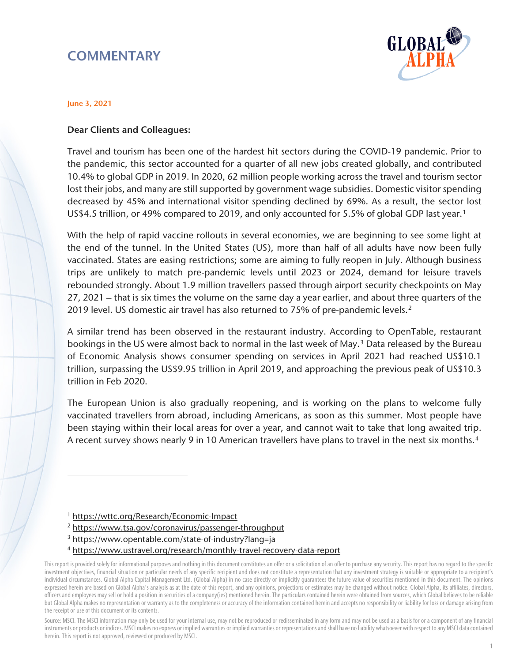# **COMMENTARY**



#### June 3, 2021

#### Dear Clients and Colleagues:

Travel and tourism has been one of the hardest hit sectors during the COVID-19 pandemic. Prior to the pandemic, this sector accounted for a quarter of all new jobs created globally, and contributed 10.4% to global GDP in 2019. In 2020, 62 million people working across the travel and tourism sector lost their jobs, and many are still supported by government wage subsidies. Domestic visitor spending decreased by 45% and international visitor spending declined by 69%. As a result, the sector lost US\$4.5 trillion, or 49% compared to 20[1](#page-0-0)9, and only accounted for 5.5% of global GDP last year.<sup>1</sup>

With the help of rapid vaccine rollouts in several economies, we are beginning to see some light at the end of the tunnel. In the United States (US), more than half of all adults have now been fully vaccinated. States are easing restrictions; some are aiming to fully reopen in July. Although business trips are unlikely to match pre-pandemic levels until 2023 or 2024, demand for leisure travels rebounded strongly. About 1.9 million travellers passed through airport security checkpoints on May 27, 2021 – that is six times the volume on the same day a year earlier, and about three quarters of the 2019 level. US domestic air travel has also returned to 75% of pre-pandemic levels.[2](#page-0-1) 

A similar trend has been observed in the restaurant industry. According to OpenTable, restaurant bookings in the US were almost back to normal in the last week of May.<sup>[3](#page-0-2)</sup> Data released by the Bureau of Economic Analysis shows consumer spending on services in April 2021 had reached US\$10.1 trillion, surpassing the US\$9.95 trillion in April 2019, and approaching the previous peak of US\$10.3 trillion in Feb 2020.

The European Union is also gradually reopening, and is working on the plans to welcome fully vaccinated travellers from abroad, including Americans, as soon as this summer. Most people have been staying within their local areas for over a year, and cannot wait to take that long awaited trip. A recent survey shows nearly 9 in 10 American travellers have plans to travel in the next six months.<sup>4</sup>

 $\overline{a}$ 

- 3 <https://www.opentable.com/state-of-industry?lang=ja>
- 4 <https://www.ustravel.org/research/monthly-travel-recovery-data-report>

Source: MSCI. The MSCI information may only be used for your internal use, may not be reproduced or redisseminated in any form and may not be used as a basis for or a component of any financial instruments or products or indices. MSCI makes no express or implied warranties or implied warranties or representations and shall have no liability whatsoever with respect to any MSCI data contained herein. This report is not approved, reviewed or produced by MSCI.

<sup>1</sup> <https://wttc.org/Research/Economic-Impact>

<sup>&</sup>lt;sup>2</sup> https://www.tsa.gov/coronavirus/passenger-throughput

<span id="page-0-3"></span><span id="page-0-2"></span><span id="page-0-1"></span><span id="page-0-0"></span>This report is provided solely for informational purposes and nothing in this document constitutes an offer or a solicitation of an offer to purchase any security. This report has no regard to the specific investment objectives, financial situation or particular needs of any specific recipient and does not constitute a representation that any investment strategy is suitable or appropriate to a recipient's individual circumstances. Global Alpha Capital Management Ltd. (Global Alpha) in no case directly or implicitly guarantees the future value of securities mentioned in this document. The opinions expressed herein are based on Global Alpha's analysis as at the date of this report, and any opinions, projections or estimates may be changed without notice. Global Alpha, its affiliates, directors, officers and employees may sell or hold a position in securities of a company(ies) mentioned herein. The particulars contained herein were obtained from sources, which Global believes to be reliable but Global Alpha makes no representation or warranty as to the completeness or accuracy of the information contained herein and accepts no responsibility or liability for loss or damage arising from the receipt or use of this document or its contents.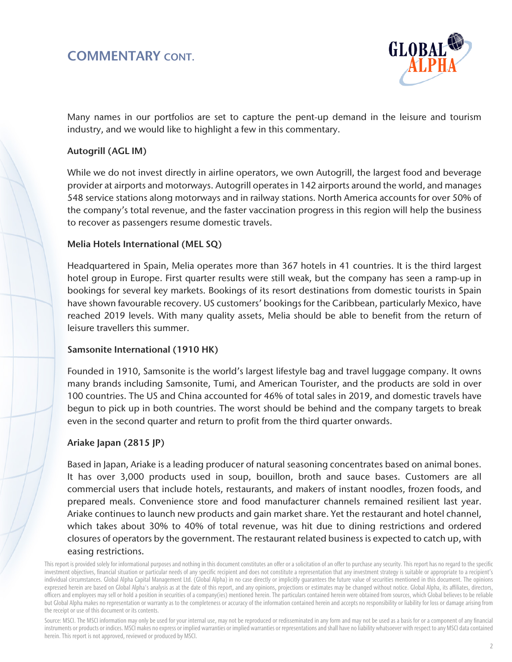## COMMENTARY CONT.



Many names in our portfolios are set to capture the pent-up demand in the leisure and tourism industry, and we would like to highlight a few in this commentary.

### Autogrill (AGL IM)

While we do not invest directly in airline operators, we own Autogrill, the largest food and beverage provider at airports and motorways. Autogrill operates in 142 airports around the world, and manages 548 service stations along motorways and in railway stations. North America accounts for over 50% of the company's total revenue, and the faster vaccination progress in this region will help the business to recover as passengers resume domestic travels.

#### Melia Hotels International (MEL SQ)

Headquartered in Spain, Melia operates more than 367 hotels in 41 countries. It is the third largest hotel group in Europe. First quarter results were still weak, but the company has seen a ramp-up in bookings for several key markets. Bookings of its resort destinations from domestic tourists in Spain have shown favourable recovery. US customers' bookings for the Caribbean, particularly Mexico, have reached 2019 levels. With many quality assets, Melia should be able to benefit from the return of leisure travellers this summer.

#### Samsonite International (1910 HK)

Founded in 1910, Samsonite is the world's largest lifestyle bag and travel luggage company. It owns many brands including Samsonite, Tumi, and American Tourister, and the products are sold in over 100 countries. The US and China accounted for 46% of total sales in 2019, and domestic travels have begun to pick up in both countries. The worst should be behind and the company targets to break even in the second quarter and return to profit from the third quarter onwards.

### Ariake Japan (2815 JP)

Based in Japan, Ariake is a leading producer of natural seasoning concentrates based on animal bones. It has over 3,000 products used in soup, bouillon, broth and sauce bases. Customers are all commercial users that include hotels, restaurants, and makers of instant noodles, frozen foods, and prepared meals. Convenience store and food manufacturer channels remained resilient last year. Ariake continues to launch new products and gain market share. Yet the restaurant and hotel channel, which takes about 30% to 40% of total revenue, was hit due to dining restrictions and ordered closures of operators by the government. The restaurant related business is expected to catch up, with easing restrictions.

Source: MSCI. The MSCI information may only be used for your internal use, may not be reproduced or redisseminated in any form and may not be used as a basis for or a component of any financial instruments or products or indices. MSCI makes no express or implied warranties or implied warranties or representations and shall have no liability whatsoever with respect to any MSCI data contained herein. This report is not approved, reviewed or produced by MSCI.

This report is provided solely for informational purposes and nothing in this document constitutes an offer or a solicitation of an offer to purchase any security. This report has no regard to the specific investment objectives, financial situation or particular needs of any specific recipient and does not constitute a representation that any investment strategy is suitable or appropriate to a recipient's individual circumstances. Global Alpha Capital Management Ltd. (Global Alpha) in no case directly or implicitly guarantees the future value of securities mentioned in this document. The opinions expressed herein are based on Global Alpha's analysis as at the date of this report, and any opinions, projections or estimates may be changed without notice. Global Alpha, its affiliates, directors, officers and employees may sell or hold a position in securities of a company(ies) mentioned herein. The particulars contained herein were obtained from sources, which Global believes to be reliable but Global Alpha makes no representation or warranty as to the completeness or accuracy of the information contained herein and accepts no responsibility or liability for loss or damage arising from the receipt or use of this document or its contents.